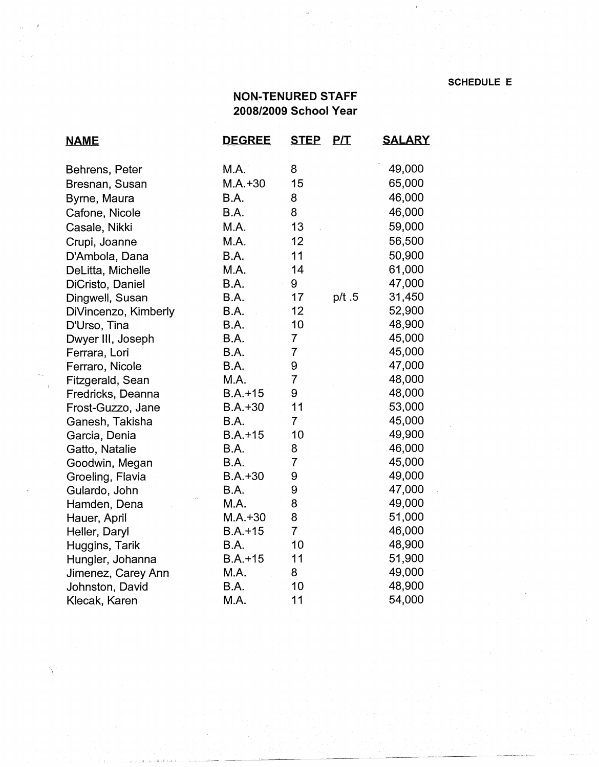## **NON-TENURED STAFF 2008/2009 School Year**

| <b>NAME</b>          | <b>DEGREE</b> | <b>STEP</b>    | <u>P/T</u> | <b>SALARY</b> |
|----------------------|---------------|----------------|------------|---------------|
| Behrens, Peter       | M.A.          | 8              |            | 49,000        |
| Bresnan, Susan       | $M.A. + 30$   | 15             |            | 65,000        |
| Byrne, Maura         | B.A.          | 8              |            | 46,000        |
| Cafone, Nicole       | <b>B.A.</b>   | 8              |            | 46,000        |
| Casale, Nikki        | M.A.          | 13             |            | 59,000        |
| Crupi, Joanne        | M.A.          | 12             |            | 56,500        |
| D'Ambola, Dana       | B.A.          | 11             |            | 50,900        |
| DeLitta, Michelle    | M.A.          | 14             |            | 61,000        |
| DiCristo, Daniel     | <b>B.A.</b>   | 9              |            | 47,000        |
| Dingwell, Susan      | B.A.          | 17             | p/t.5      | 31,450        |
| DiVincenzo, Kimberly | B.A.          | 12             |            | 52,900        |
| D'Urso, Tina         | B.A.          | 10             |            | 48,900        |
| Dwyer III, Joseph    | B.A.          | $\overline{7}$ |            | 45,000        |
| Ferrara, Lori        | B.A.          | $\overline{7}$ |            | 45,000        |
| Ferraro, Nicole      | B.A.          | 9              |            | 47,000        |
| Fitzgerald, Sean     | M.A.          | 7              |            | 48,000        |
| Fredricks, Deanna    | $B.A.+15$     | 9              |            | 48,000        |
| Frost-Guzzo, Jane    | $B.A.+30$     | 11             |            | 53,000        |
| Ganesh, Takisha      | B.A.          | $\overline{7}$ |            | 45,000        |
| Garcia, Denia        | $B.A. + 15$   | 10             |            | 49,900        |
| Gatto, Natalie       | B.A.          | 8              |            | 46,000        |
| Goodwin, Megan       | <b>B.A.</b>   | $\overline{7}$ |            | 45,000        |
| Groeling, Flavia     | $B.A.+30$     | 9              |            | 49,000        |
| Gulardo, John        | B.A.          | 9              |            | 47,000        |
| Hamden, Dena         | M.A.          | 8              |            | 49,000        |
| Hauer, April         | $M.A. + 30$   | 8              |            | 51,000        |
| Heller, Daryl        | $B.A.+15$     | $\overline{7}$ |            | 46,000        |
| Huggins, Tarik       | B.A.          | 10             |            | 48,900        |
| Hungler, Johanna     | $B.A.+15$     | 11             |            | 51,900        |
| Jimenez, Carey Ann   | M.A.          | 8              |            | 49,000        |
| Johnston, David      | B.A.          | 10             |            | 48,900        |
| Klecak, Karen        | M.A.          | 11             |            | 54,000        |

 $\setminus$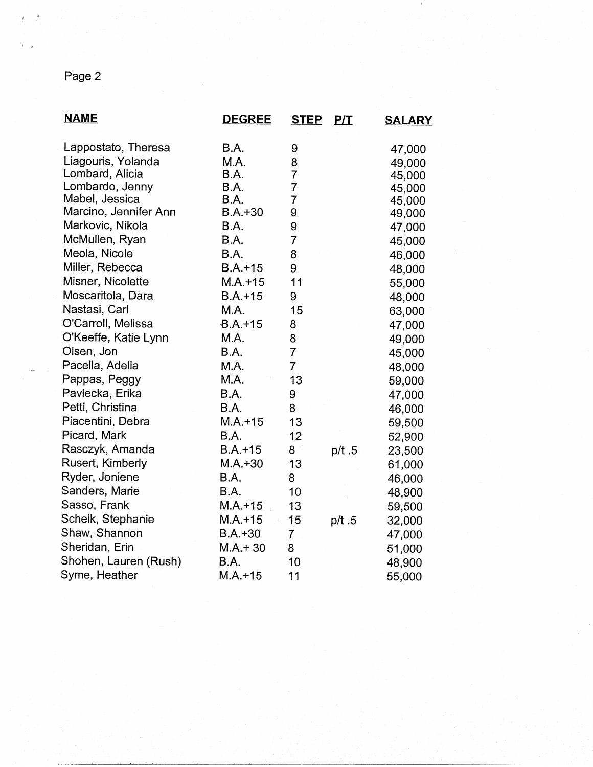## Page 2

| <b>NAME</b>           | <b>DEGREE</b> | <b>STEP</b>    | P/T   | <u>SALARY</u> |
|-----------------------|---------------|----------------|-------|---------------|
| Lappostato, Theresa   | B.A.          | 9              |       | 47,000        |
| Liagouris, Yolanda    | M.A.          | 8              |       | 49,000        |
| Lombard, Alicia       | B.A.          | $\overline{7}$ |       | 45,000        |
| Lombardo, Jenny       | B.A.          | $\overline{7}$ |       | 45,000        |
| Mabel, Jessica        | B.A.          | $\overline{7}$ |       | 45,000        |
| Marcino, Jennifer Ann | $B.A.+30$     | 9              |       | 49,000        |
| Markovic, Nikola      | B.A.          | 9              |       | 47,000        |
| McMullen, Ryan        | B.A.          | $\overline{7}$ |       | 45,000        |
| Meola, Nicole         | B.A.          | 8              |       | 46,000        |
| Miller, Rebecca       | $B.A.+15$     | 9              |       | 48,000        |
| Misner, Nicolette     | $M.A. + 15$   | 11             |       | 55,000        |
| Moscaritola, Dara     | $B.A.+15$     | 9              |       | 48,000        |
| Nastasi, Carl         | M.A.          | 15             |       | 63,000        |
| O'Carroll, Melissa    | $B.A.+15$     | 8              |       | 47,000        |
| O'Keeffe, Katie Lynn  | M.A.          | 8              |       | 49,000        |
| Olsen, Jon            | B.A.          | $\overline{7}$ |       | 45,000        |
| Pacella, Adelia       | M.A.          | $\overline{7}$ |       | 48,000        |
| Pappas, Peggy         | M.A.          | 13             |       | 59,000        |
| Pavlecka, Erika       | B.A.          | 9              |       | 47,000        |
| Petti, Christina      | B.A.          | 8              |       | 46,000        |
| Piacentini, Debra     | $M.A. + 15$   | 13             |       | 59,500        |
| Picard, Mark          | B.A.          | 12             |       | 52,900        |
| Rasczyk, Amanda       | $B.A.+15$     | 8              | p/t.5 | 23,500        |
| Rusert, Kimberly      | $M.A.+30$     | 13             |       | 61,000        |
| Ryder, Joniene        | B.A.          | 8              |       | 46,000        |
| Sanders, Marie        | B.A.          | 10             |       | 48,900        |
| Sasso, Frank          | $M.A.+15$     | 13             |       | 59,500        |
| Scheik, Stephanie     | $M.A. + 15$   | 15             | p/t.5 | 32,000        |
| Shaw, Shannon         | $B.A.+30$     | $\overline{7}$ |       | 47,000        |
| Sheridan, Erin        | $M.A. + 30$   | 8              |       | 51,000        |
| Shohen, Lauren (Rush) | B.A.          | 10             |       | 48,900        |
| Syme, Heather         | $M.A.+15$     | 11             |       | 55,000        |